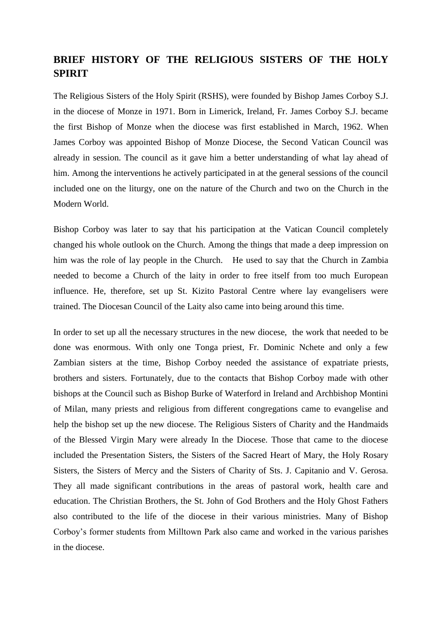## **BRIEF HISTORY OF THE RELIGIOUS SISTERS OF THE HOLY SPIRIT**

The Religious Sisters of the Holy Spirit (RSHS), were founded by Bishop James Corboy S.J. in the diocese of Monze in 1971. Born in Limerick, Ireland, Fr. James Corboy S.J. became the first Bishop of Monze when the diocese was first established in March, 1962. When James Corboy was appointed Bishop of Monze Diocese, the Second Vatican Council was already in session. The council as it gave him a better understanding of what lay ahead of him. Among the interventions he actively participated in at the general sessions of the council included one on the liturgy, one on the nature of the Church and two on the Church in the Modern World.

Bishop Corboy was later to say that his participation at the Vatican Council completely changed his whole outlook on the Church. Among the things that made a deep impression on him was the role of lay people in the Church. He used to say that the Church in Zambia needed to become a Church of the laity in order to free itself from too much European influence. He, therefore, set up St. Kizito Pastoral Centre where lay evangelisers were trained. The Diocesan Council of the Laity also came into being around this time.

In order to set up all the necessary structures in the new diocese, the work that needed to be done was enormous. With only one Tonga priest, Fr. Dominic Nchete and only a few Zambian sisters at the time, Bishop Corboy needed the assistance of expatriate priests, brothers and sisters. Fortunately, due to the contacts that Bishop Corboy made with other bishops at the Council such as Bishop Burke of Waterford in Ireland and Archbishop Montini of Milan, many priests and religious from different congregations came to evangelise and help the bishop set up the new diocese. The Religious Sisters of Charity and the Handmaids of the Blessed Virgin Mary were already In the Diocese. Those that came to the diocese included the Presentation Sisters, the Sisters of the Sacred Heart of Mary, the Holy Rosary Sisters, the Sisters of Mercy and the Sisters of Charity of Sts. J. Capitanio and V. Gerosa. They all made significant contributions in the areas of pastoral work, health care and education. The Christian Brothers, the St. John of God Brothers and the Holy Ghost Fathers also contributed to the life of the diocese in their various ministries. Many of Bishop Corboy's former students from Milltown Park also came and worked in the various parishes in the diocese.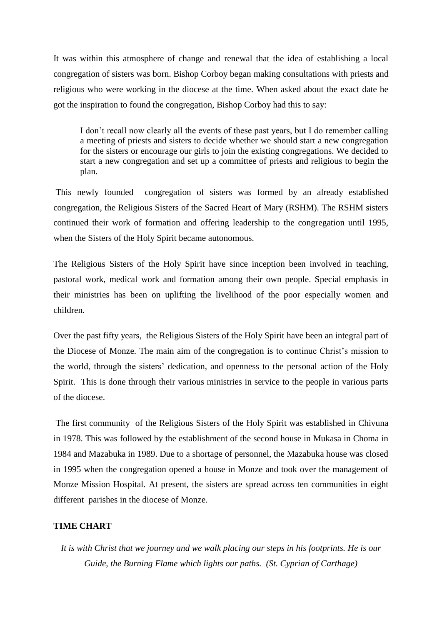It was within this atmosphere of change and renewal that the idea of establishing a local congregation of sisters was born. Bishop Corboy began making consultations with priests and religious who were working in the diocese at the time. When asked about the exact date he got the inspiration to found the congregation, Bishop Corboy had this to say:

I don't recall now clearly all the events of these past years, but I do remember calling a meeting of priests and sisters to decide whether we should start a new congregation for the sisters or encourage our girls to join the existing congregations. We decided to start a new congregation and set up a committee of priests and religious to begin the plan.

This newly founded congregation of sisters was formed by an already established congregation, the Religious Sisters of the Sacred Heart of Mary (RSHM). The RSHM sisters continued their work of formation and offering leadership to the congregation until 1995, when the Sisters of the Holy Spirit became autonomous.

The Religious Sisters of the Holy Spirit have since inception been involved in teaching, pastoral work, medical work and formation among their own people. Special emphasis in their ministries has been on uplifting the livelihood of the poor especially women and children.

Over the past fifty years, the Religious Sisters of the Holy Spirit have been an integral part of the Diocese of Monze. The main aim of the congregation is to continue Christ's mission to the world, through the sisters' dedication, and openness to the personal action of the Holy Spirit. This is done through their various ministries in service to the people in various parts of the diocese.

The first community of the Religious Sisters of the Holy Spirit was established in Chivuna in 1978. This was followed by the establishment of the second house in Mukasa in Choma in 1984 and Mazabuka in 1989. Due to a shortage of personnel, the Mazabuka house was closed in 1995 when the congregation opened a house in Monze and took over the management of Monze Mission Hospital. At present, the sisters are spread across ten communities in eight different parishes in the diocese of Monze.

## **TIME CHART**

*It is with Christ that we journey and we walk placing our steps in his footprints. He is our Guide, the Burning Flame which lights our paths. (St. Cyprian of Carthage)*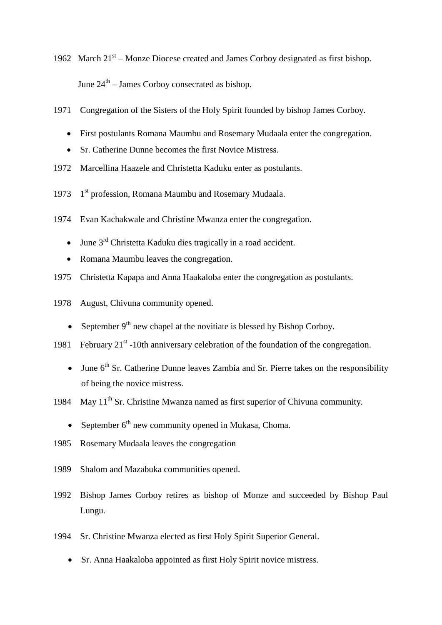1962 March 21<sup>st</sup> – Monze Diocese created and James Corboy designated as first bishop. June  $24<sup>th</sup>$  – James Corboy consecrated as bishop.

- 1971 Congregation of the Sisters of the Holy Spirit founded by bishop James Corboy.
	- First postulants Romana Maumbu and Rosemary Mudaala enter the congregation.
	- Sr. Catherine Dunne becomes the first Novice Mistress.
- 1972 Marcellina Haazele and Christetta Kaduku enter as postulants.
- 1973 1<sup>st</sup> profession, Romana Maumbu and Rosemary Mudaala.
- 1974 Evan Kachakwale and Christine Mwanza enter the congregation.
	- $\bullet$  June 3<sup>rd</sup> Christetta Kaduku dies tragically in a road accident.
	- Romana Maumbu leaves the congregation.
- 1975 Christetta Kapapa and Anna Haakaloba enter the congregation as postulants.
- 1978 August, Chivuna community opened.
	- September  $9<sup>th</sup>$  new chapel at the novitiate is blessed by Bishop Corboy.
- 1981 February  $21^{st}$  -10th anniversary celebration of the foundation of the congregation.
	- $\bullet$  June  $6<sup>th</sup>$  Sr. Catherine Dunne leaves Zambia and Sr. Pierre takes on the responsibility of being the novice mistress.
- 1984 May  $11^{th}$  Sr. Christine Mwanza named as first superior of Chivuna community.
	- September  $6<sup>th</sup>$  new community opened in Mukasa, Choma.
- 1985 Rosemary Mudaala leaves the congregation
- 1989 Shalom and Mazabuka communities opened.
- 1992 Bishop James Corboy retires as bishop of Monze and succeeded by Bishop Paul Lungu.
- 1994 Sr. Christine Mwanza elected as first Holy Spirit Superior General.
	- Sr. Anna Haakaloba appointed as first Holy Spirit novice mistress.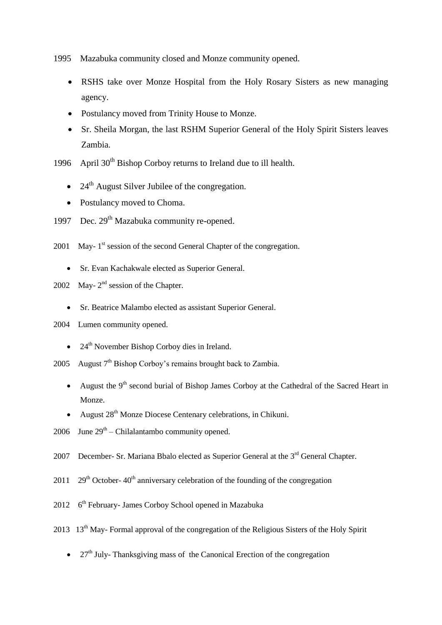1995 Mazabuka community closed and Monze community opened.

- RSHS take over Monze Hospital from the Holy Rosary Sisters as new managing agency.
- Postulancy moved from Trinity House to Monze.
- Sr. Sheila Morgan, the last RSHM Superior General of the Holy Spirit Sisters leaves Zambia.
- 1996 April  $30<sup>th</sup>$  Bishop Corboy returns to Ireland due to ill health.
	- $\bullet$  24<sup>th</sup> August Silver Jubilee of the congregation.
	- Postulancy moved to Choma.
- 1997 Dec.  $29<sup>th</sup>$  Mazabuka community re-opened.
- 2001 May-1<sup>st</sup> session of the second General Chapter of the congregation.
	- Sr. Evan Kachakwale elected as Superior General.
- 2002 May- $2<sup>nd</sup>$  session of the Chapter.
	- Sr. Beatrice Malambo elected as assistant Superior General.
- 2004 Lumen community opened.
	- $\bullet$  24<sup>th</sup> November Bishop Corboy dies in Ireland.
- 2005 August  $7<sup>th</sup>$  Bishop Corbov's remains brought back to Zambia.
	- August the  $9<sup>th</sup>$  second burial of Bishop James Corboy at the Cathedral of the Sacred Heart in Monze.
	- August 28<sup>th</sup> Monze Diocese Centenary celebrations, in Chikuni.
- 2006 June  $29<sup>th</sup> Chilalantambo community opened.$
- 2007 December- Sr. Mariana Bbalo elected as Superior General at the  $3<sup>rd</sup>$  General Chapter.
- 2011 29<sup>th</sup> October- 40<sup>th</sup> anniversary celebration of the founding of the congregation
- 2012  $6<sup>th</sup>$  February- James Corboy School opened in Mazabuka
- 2013 13<sup>th</sup> May- Formal approval of the congregation of the Religious Sisters of the Holy Spirit
	- $\bullet$  27<sup>th</sup> July- Thanksgiving mass of the Canonical Erection of the congregation